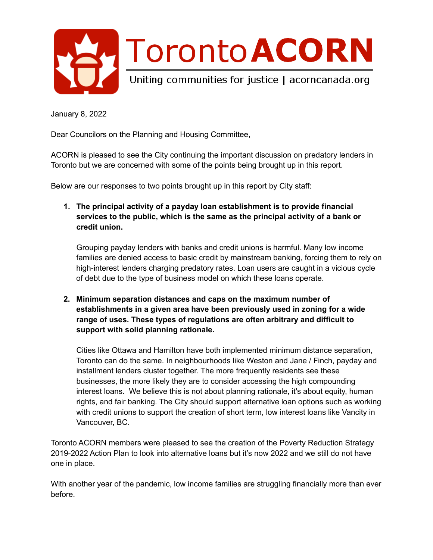

January 8, 2022

Dear Councilors on the Planning and Housing Committee,

 ACORN is pleased to see the City continuing the important discussion on predatory lenders in Toronto but we are concerned with some of the points being brought up in this report.

Below are our responses to two points brought up in this report by City staff:

 **1. The principal activity of a payday loan establishment is to provide financial services to the public, which is the same as the principal activity of a bank or credit union.**

 Grouping payday lenders with banks and credit unions is harmful. Many low income families are denied access to basic credit by mainstream banking, forcing them to rely on high-interest lenders charging predatory rates. Loan users are caught in a vicious cycle of debt due to the type of business model on which these loans operate.

 **2. Minimum separation distances and caps on the maximum number of establishments in a given area have been previously used in zoning for a wide range of uses. These types of regulations are often arbitrary and difficult to support with solid planning rationale.**

 Cities like Ottawa and Hamilton have both implemented minimum distance separation, Toronto can do the same. In neighbourhoods like Weston and Jane / Finch, payday and installment lenders cluster together. The more frequently residents see these businesses, the more likely they are to consider accessing the high compounding interest loans. We believe this is not about planning rationale, it's about equity, human rights, and fair banking. The City should support alternative loan options such as working with credit unions to support the creation of short term, low interest loans like Vancity in Vancouver, BC.

 Toronto ACORN members were pleased to see the creation of the Poverty Reduction Strategy 2019-2022 Action Plan to look into alternative loans but it's now 2022 and we still do not have one in place.

 With another year of the pandemic, low income families are struggling financially more than ever before.